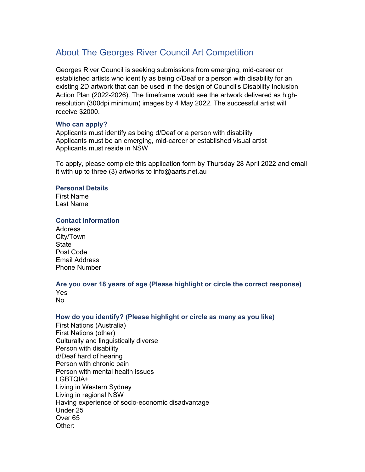# About The Georges River Council Art Competition

Georges River Council is seeking submissions from emerging, mid-career or established artists who identify as being d/Deaf or a person with disability for an existing 2D artwork that can be used in the design of Council's Disability Inclusion Action Plan (2022-2026). The timeframe would see the artwork delivered as highresolution (300dpi minimum) images by 4 May 2022. The successful artist will receive \$2000.

#### Who can apply?

Applicants must identify as being d/Deaf or a person with disability Applicants must be an emerging, mid-career or established visual artist Applicants must reside in NSW

To apply, please complete this application form by Thursday 28 April 2022 and email it with up to three (3) artworks to info@aarts.net.au

#### Personal Details

First Name Last Name

#### Contact information

Address City/Town **State** Post Code Email Address Phone Number

## Are you over 18 years of age (Please highlight or circle the correct response)

Yes No

# How do you identify? (Please highlight or circle as many as you like)

First Nations (Australia) First Nations (other) Culturally and linguistically diverse Person with disability d/Deaf hard of hearing Person with chronic pain Person with mental health issues LGBTQIA+ Living in Western Sydney Living in regional NSW Having experience of socio-economic disadvantage Under 25 Over 65 Other: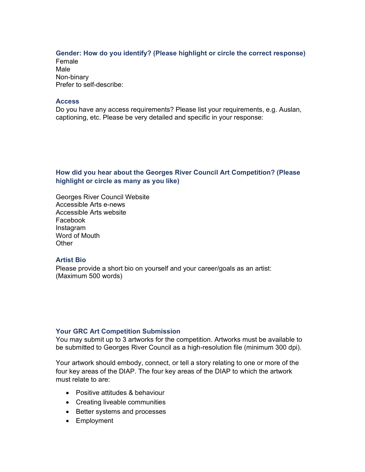## Gender: How do you identify? (Please highlight or circle the correct response)

Female Male Non-binary Prefer to self-describe:

#### **Access**

Do you have any access requirements? Please list your requirements, e.g. Auslan, captioning, etc. Please be very detailed and specific in your response:

## How did you hear about the Georges River Council Art Competition? (Please highlight or circle as many as you like)

Georges River Council Website Accessible Arts e-news Accessible Arts website Facebook Instagram Word of Mouth **Other** 

## Artist Bio

Please provide a short bio on yourself and your career/goals as an artist: (Maximum 500 words)

## Your GRC Art Competition Submission

You may submit up to 3 artworks for the competition. Artworks must be available to be submitted to Georges River Council as a high-resolution file (minimum 300 dpi).

Your artwork should embody, connect, or tell a story relating to one or more of the four key areas of the DIAP. The four key areas of the DIAP to which the artwork must relate to are:

- Positive attitudes & behaviour
- Creating liveable communities
- Better systems and processes
- Employment